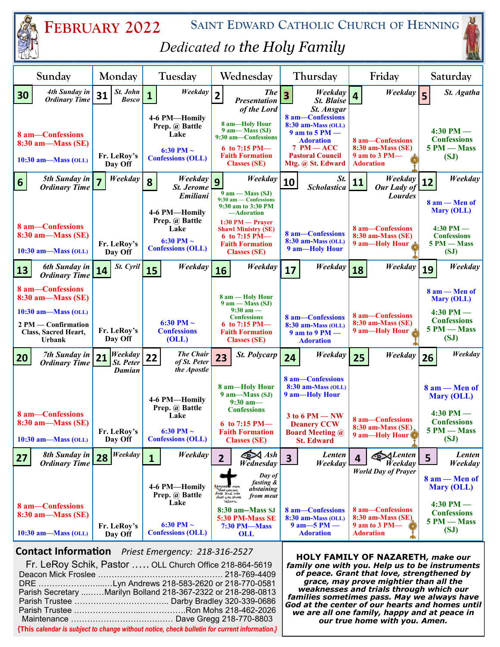| <b>SAINT EDWARD CATHOLIC CHURCH OF HENNING</b><br>FEBRUARY 2022<br>Dedicated to the Holy Family                                                                                                                                                                                                            |                                      |                                                                                       |                                                                                                                                                                                   |                                                                                                                                                                    |                                                                                                          |                                                                                                    |  |
|------------------------------------------------------------------------------------------------------------------------------------------------------------------------------------------------------------------------------------------------------------------------------------------------------------|--------------------------------------|---------------------------------------------------------------------------------------|-----------------------------------------------------------------------------------------------------------------------------------------------------------------------------------|--------------------------------------------------------------------------------------------------------------------------------------------------------------------|----------------------------------------------------------------------------------------------------------|----------------------------------------------------------------------------------------------------|--|
| Sunday                                                                                                                                                                                                                                                                                                     | Monday                               | Tuesday                                                                               | Wednesdav                                                                                                                                                                         | Thursday                                                                                                                                                           | Friday                                                                                                   | Saturday                                                                                           |  |
| 4th Sunday in<br>30<br><b>Ordinary Time</b>                                                                                                                                                                                                                                                                | St. John<br>31<br><b>Bosco</b>       | Weekday<br>$\mathbf{1}$                                                               | <b>The</b><br>$\mathbf{2}$<br><b>Presentation</b>                                                                                                                                 | Weekday<br>$\overline{\mathbf{3}}$<br><b>St. Blaise</b>                                                                                                            | Weekday<br>$\overline{\mathbf{4}}$                                                                       | St. Agatha<br>$\overline{\phantom{a}}$                                                             |  |
| 8 am-Confessions<br>8:30 am—Mass (SE)<br>$10:30$ am—Mass (OLL)                                                                                                                                                                                                                                             | Fr. LeRoy's<br>Day Off               | 4-6 PM-Homily<br>Prep. @ Battle<br>Lake<br>6:30 PM $\sim$<br><b>Confessions (OLL)</b> | of the Lord<br>8 am-Holy Hour<br>9 am— Mass (SJ)<br>9:30 am-Confessions<br>6 to 7:15 PM $-$<br><b>Faith Formation</b><br><b>Classes (SE)</b>                                      | St. Ansgar<br>8 am-Confessions<br>$8:30$ am-Mass (OLL)<br>$9$ am to $5$ PM $-$<br><b>Adoration</b><br>$7 PM - ACC$<br><b>Pastoral Council</b><br>Mtg. @ St. Edward | 8 am-Confessions<br>8:30 am-Mass (SE)<br>9 am to 3 PM-<br><b>Adoration</b>                               | $4:30$ PM $-$<br><b>Confessions</b><br>5 PM - Mass<br>(SJ)                                         |  |
| 5th Sunday in<br>$6 \overline{6}$<br><b>Ordinary Time</b>                                                                                                                                                                                                                                                  | Weekday                              | Weekday<br>8<br><b>St. Jerome</b><br>Emiliani                                         | Weekday<br>$\overline{9}$<br>$9$ am $-$ Mass (SJ)<br>9:30 am - Confessions<br>9:30 am to 3:30 PM                                                                                  | St.<br>10<br><b>Scholastica</b>                                                                                                                                    | Weekday<br><b>11</b><br>Our Lady of<br><b>Lourdes</b>                                                    | Weekday<br>12<br>$8$ am $-$ Men of                                                                 |  |
| 8 am-Confessions<br>8:30 am—Mass (SE)<br>$10:30$ am—Mass (OLL)                                                                                                                                                                                                                                             | Fr. LeRoy's<br>Day Off               | 4-6 PM-Homily<br>Prep. @ Battle<br>Lake<br>6:30 PM $\sim$<br><b>Confessions (OLL)</b> | -Adoration<br>$1:30$ PM — Praver<br><b>Shawl Ministry (SE)</b><br>6 to 7:15 PM $-$<br><b>Faith Formation</b><br><b>Classes (SE)</b>                                               | 8 am-Confessions<br>8:30 am-Mass (OLL)<br>9 am-Holy Hour                                                                                                           | 8 am-Confessions<br><b>8:30 am-Mass (SE)</b><br>9 am-Holy Hour                                           | <b>Mary (OLL)</b><br>$4:30$ PM $-$<br><b>Confessions</b><br>5 PM - Mass<br>(SJ)                    |  |
| 6th Sunday in<br>13<br><b>Ordinary Time</b>                                                                                                                                                                                                                                                                | $St.$ Cyril<br>14                    | Weekday<br>15                                                                         | Weekday<br>16                                                                                                                                                                     | Weekday<br>17                                                                                                                                                      | Weekday<br>18                                                                                            | Weekday<br>19                                                                                      |  |
| 8 am-Confessions<br>8:30 am—Mass (SE)<br>$10:30$ am—Mass (OLL)<br>2 PM — Confirmation<br>Class, Sacred Heart,<br><b>Urbank</b>                                                                                                                                                                             | Fr. LeRoy's<br>Day Off               | 6:30 PM $\sim$<br><b>Confessions</b><br>(OLL)                                         | 8 am - Holy Hour<br>$9$ am $-$ Mass (SJ)<br>$9:30 \text{ am} -$<br><b>Confessions</b><br>6 to 7:15 PM $-$<br><b>Faith Formation</b><br><b>Classes (SE)</b>                        | 8 am-Confessions<br>$8:30$ am-Mass (OLL)<br>$9$ am to $9$ PM $-$<br><b>Adoration</b>                                                                               | 8 am-Confessions<br>8:30 am-Mass (SE)<br>9 am-Holy Hour                                                  | $8$ am $-$ Men of<br>Mary (OLL)<br>$4:30$ PM —<br><b>Confessions</b><br>5 PM - Mass<br>(SJ)        |  |
| 7th Sunday in<br>20<br><b>Ordinary Time</b>                                                                                                                                                                                                                                                                | Weekday<br>21<br>St. Peter<br>Damian | <b>The Chair</b><br>22<br>of St. Peter<br>the Apostle                                 | <b>St. Polycarp</b><br>23                                                                                                                                                         | Weekday<br>24                                                                                                                                                      | Weekday<br>25                                                                                            | Weekday<br>26                                                                                      |  |
| 8 am-Confessions<br>8:30 am—Mass (SE)<br>$10:30$ am—Mass (OLL)                                                                                                                                                                                                                                             | Fr. LeRoy's<br>Day Off               | 4-6 PM-Homily<br>Prep. @ Battle<br>Lake<br>6:30 PM $\sim$<br><b>Confessions (OLL)</b> | 8 am-Holy Hour<br>9 am-Mass (SJ)<br>$9:30$ am-<br><b>Confessions</b><br>6 to 7:15 PM $-$<br><b>Faith Formation</b><br><b>Classes (SE)</b>                                         | 8 am-Confessions<br>8:30 am-Mass (OLL)<br>9 am-Holy Hour<br>$3$ to $6$ PM $-$ NW<br><b>Deanery CCW</b><br><b>Board Meeting @</b><br><b>St. Edward</b>              | 8 am-Confessions<br>8:30 am-Mass (SE).<br>9 am-Holy Hour                                                 | 8 am - Men of<br><b>Mary (OLL)</b><br>$4:30$ PM —<br><b>Confessions</b><br>5 PM - Mass<br>(SJ)     |  |
| 8th Sunday in<br>27<br><b>Ordinary Time</b>                                                                                                                                                                                                                                                                | Weekday<br>28                        | Weekday<br>$\mathbf{1}$                                                               | <b>E</b><br>Ash<br>$\overline{2}$<br>Wednesday                                                                                                                                    | Lenten<br>$\overline{\mathbf{3}}$<br>Weekday                                                                                                                       | <b>SALenten</b><br>4<br>Weekday                                                                          | Lenten<br>5<br>Weekday                                                                             |  |
| 8 am-Confessions<br>8:30 am—Mass (SE)<br>$10:30$ am-Mass (OLL)                                                                                                                                                                                                                                             | Fr. LeRoy's<br>Day Off               | 4-6 PM-Homily<br>Prep. @ Battle<br>Lake<br>6:30 PM $\sim$<br><b>Confessions (OLL)</b> | Day of<br>fasting &<br>abstaining<br>that you are<br>dust and into<br>from meat<br>dust you shall<br>return.<br>8:30 am--Mass SJ<br>5:30 PM-Mass SE<br><b>7:30 PM-Mass</b><br>OLL | 8 am-Confessions<br>8:30 am-Mass (OLL)<br>$9$ am $-5$ PM $-$<br><b>Adoration</b>                                                                                   | <b>World Day of Prayer</b><br>8 am-Confessions<br>8:30 am-Mass (SE)<br>9 am to 3 PM-<br><b>Adoration</b> | $8$ am $-$ Men of<br><b>Mary (OLL)</b><br>$4:30$ PM —<br><b>Confessions</b><br>5 PM - Mass<br>(SJ) |  |
| <b>Contact Information</b><br>Priest Emergency: 218-316-2527<br><b>HOLY FAMILY OF NAZARETH, make our</b><br>Fr. LeRoy Schik, Pastor  OLL Church Office 218-864-5619<br>family one with you. Help us to be instruments<br>of peace. Grant that love, strengthened by<br>Deacon Mick Froslee<br>218-769-4409 |                                      |                                                                                       |                                                                                                                                                                                   |                                                                                                                                                                    |                                                                                                          |                                                                                                    |  |

Deacon Mick Froslee ………………………………………. 218-769-4409 DRE …………………....…Lyn Andrews 218-583-2620 or 218-770-0581 Parish Secretary ...……Marilyn Bolland 218-367-2322 or 218-298-0813 Parish Trustee …………………………….. Darby Bradley 320-339-0686 Parish Trustee .…………………....…………….Ron Mohs 218-462-2026 Maintenance ……………………….….…… Dave Gregg 218-770-8803 **{This** *calendar is subject to change without notice, check bulletin for current information.}*

*of peace. Grant that love, strengthened by grace, may prove mightier than all the weaknesses and trials through which our families sometimes pass. May we always have God at the center of our hearts and homes until we are all one family, happy and at peace in our true home with you. Amen.*